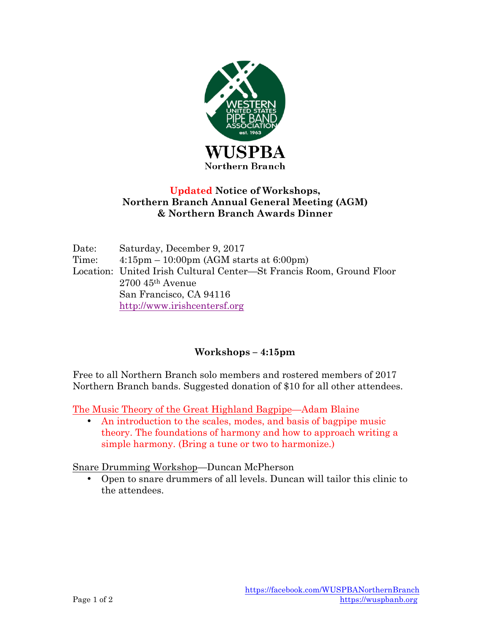

### **Updated Notice of Workshops, Northern Branch Annual General Meeting (AGM) & Northern Branch Awards Dinner**

Date: Saturday, December 9, 2017 Time: 4:15pm – 10:00pm (AGM starts at 6:00pm) Location: United Irish Cultural Center—St Francis Room, Ground Floor 2700 45th Avenue San Francisco, CA 94116 http://www.irishcentersf.org

# **Workshops – 4:15pm**

Free to all Northern Branch solo members and rostered members of 2017 Northern Branch bands. Suggested donation of \$10 for all other attendees.

The Music Theory of the Great Highland Bagpipe—Adam Blaine

• An introduction to the scales, modes, and basis of bagpipe music theory. The foundations of harmony and how to approach writing a simple harmony. (Bring a tune or two to harmonize.)

Snare Drumming Workshop—Duncan McPherson

• Open to snare drummers of all levels. Duncan will tailor this clinic to the attendees.